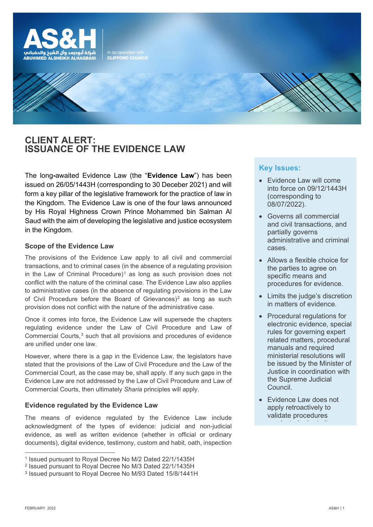

**CLIENT ALERT: ISSUANCE OF THE EVIDENCE LAW**

The long**-**awaited Evidence Law (the "**Evidence Law**") has been issued on 26/05/1443H (corresponding to 30 Deceber 2021) and will form a key pillar of the legislative framework for the practice of law in the Kingdom. The Evidence Law is one of the four laws announced by His Royal Highness Crown Prince Mohammed bin Salman Al Saud with the aim of developing the legislative and justice ecosystem in the Kingdom.

in co-operation with<br>CLIFFORD CHANCE

# **Scope of the Evidence Law**

The provisions of the Evidence Law apply to all civil and commercial transactions, and to criminal cases (in the absence of a regulating provision in the Law of Criminal Procedure)<sup>[1](#page-0-0)</sup> as long as such provision does not conflict with the nature of the criminal case. The Evidence Law also applies to administrative cases (in the absence of regulating provisions in the Law of Civil Procedure before the Board of Grievances)<sup>[2](#page-0-1)</sup> as long as such provision does not conflict with the nature of the administrative case.

Once it comes into force, the Evidence Law will supersede the chapters regulating evidence under the Law of Civil Procedure and Law of Commercial Courts,<sup>[3](#page-0-2)</sup> such that all provisions and procedures of evidence are unified under one law.

However, where there is a gap in the Evidence Law, the legislators have stated that the provisions of the Law of Civil Procedure and the Law of the Commercial Court, as the case may be, shall apply. If any such gaps in the Evidence Law are not addressed by the Law of Civil Procedure and Law of Commercial Courts, then ultimately *Sharia* principles will apply.

# **Evidence regulated by the Evidence Law**

The means of evidence regulated by the Evidence Law include acknowledgment of the types of evidence: judicial and non-judicial evidence, as well as written evidence (whether in official or ordinary documents), digital evidence, testimony, custom and habit, oath, inspection

# **Key Issues:**

- Evidence Law will come into force on 09/12/1443H (corresponding to 08/07/2022).
- Governs all commercial and civil transactions, and partially governs administrative and criminal cases.
- Allows a flexible choice for the parties to agree on specific means and procedures for evidence.
- Limits the judge's discretion in matters of evidence.
- Procedural regulations for electronic evidence, special rules for governing expert related matters, procedural manuals and required ministerial resolutions will be issued by the Minister of Justice in coordination with the Supreme Judicial Council.
- Evidence Law does not apply retroactively to validate procedures d t d i t it

<span id="page-0-0"></span><sup>1</sup> Issued pursuant to Royal Decree No M/2 Dated 22/1/1435H

<span id="page-0-1"></span><sup>2</sup> Issued pursuant to Royal Decree No M/3 Dated 22/1/1435H

<span id="page-0-2"></span><sup>3</sup> Issued pursuant to Royal Decree No M/93 Dated 15/8/1441H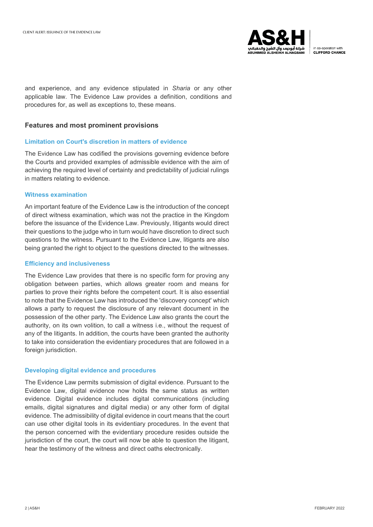

in co-operation with CLIFFORD CHANCE

and experience, and any evidence stipulated in *Sharia* or any other applicable law. The Evidence Law provides a definition, conditions and procedures for, as well as exceptions to, these means.

## **Features and most prominent provisions**

#### **Limitation on Court's discretion in matters of evidence**

The Evidence Law has codified the provisions governing evidence before the Courts and provided examples of admissible evidence with the aim of achieving the required level of certainty and predictability of judicial rulings in matters relating to evidence.

#### **Witness examination**

An important feature of the Evidence Law is the introduction of the concept of direct witness examination, which was not the practice in the Kingdom before the issuance of the Evidence Law. Previously, litigants would direct their questions to the judge who in turn would have discretion to direct such questions to the witness. Pursuant to the Evidence Law, litigants are also being granted the right to object to the questions directed to the witnesses.

#### **Efficiency and inclusiveness**

The Evidence Law provides that there is no specific form for proving any obligation between parties, which allows greater room and means for parties to prove their rights before the competent court. It is also essential to note that the Evidence Law has introduced the 'discovery concept' which allows a party to request the disclosure of any relevant document in the possession of the other party. The Evidence Law also grants the court the authority, on its own volition, to call a witness i.e., without the request of any of the litigants. In addition, the courts have been granted the authority to take into consideration the evidentiary procedures that are followed in a foreign jurisdiction.

#### **Developing digital evidence and procedures**

The Evidence Law permits submission of digital evidence. Pursuant to the Evidence Law, digital evidence now holds the same status as written evidence. Digital evidence includes digital communications (including emails, digital signatures and digital media) or any other form of digital evidence. The admissibility of digital evidence in court means that the court can use other digital tools in its evidentiary procedures. In the event that the person concerned with the evidentiary procedure resides outside the jurisdiction of the court, the court will now be able to question the litigant, hear the testimony of the witness and direct oaths electronically.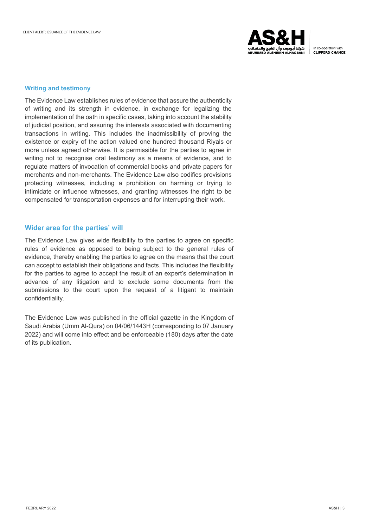

in co-operation with CLIFFORD CHANCE

#### **Writing and testimony**

The Evidence Law establishes rules of evidence that assure the authenticity of writing and its strength in evidence, in exchange for legalizing the implementation of the oath in specific cases, taking into account the stability of judicial position, and assuring the interests associated with documenting transactions in writing. This includes the inadmissibility of proving the existence or expiry of the action valued one hundred thousand Riyals or more unless agreed otherwise. It is permissible for the parties to agree in writing not to recognise oral testimony as a means of evidence, and to regulate matters of invocation of commercial books and private papers for merchants and non-merchants. The Evidence Law also codifies provisions protecting witnesses, including a prohibition on harming or trying to intimidate or influence witnesses, and granting witnesses the right to be compensated for transportation expenses and for interrupting their work.

## **Wider area for the parties' will**

The Evidence Law gives wide flexibility to the parties to agree on specific rules of evidence as opposed to being subject to the general rules of evidence, thereby enabling the parties to agree on the means that the court can accept to establish their obligations and facts. This includes the flexibility for the parties to agree to accept the result of an expert's determination in advance of any litigation and to exclude some documents from the submissions to the court upon the request of a litigant to maintain confidentiality .

The Evidence Law was published in the official gazette in the Kingdom of Saudi Arabia (Umm Al-Qura) on 04/06/1443H (corresponding to 07 January 2022) and will come into effect and be enforceable (180) days after the date of its publication.